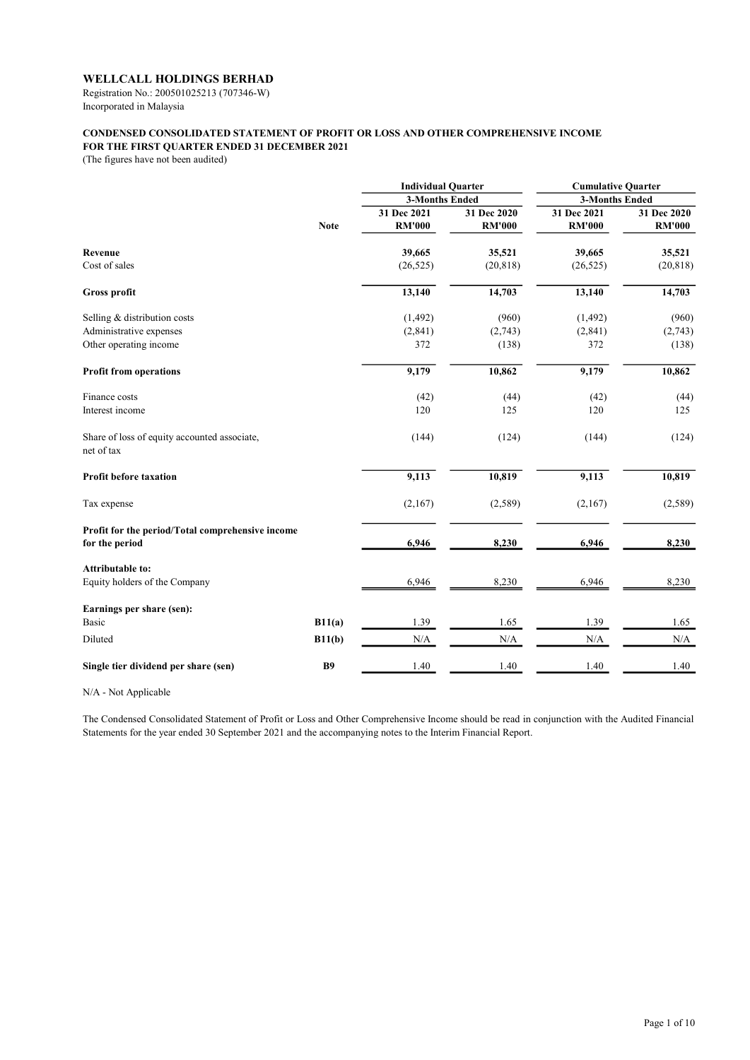Registration No.: 200501025213 (707346-W) Incorporated in Malaysia

## CONDENSED CONSOLIDATED STATEMENT OF PROFIT OR LOSS AND OTHER COMPREHENSIVE INCOME FOR THE FIRST QUARTER ENDED 31 DECEMBER 2021

(The figures have not been audited)

|                                                                    |             | <b>Individual Quarter</b><br><b>3-Months Ended</b> |               | <b>Cumulative Quarter</b> |               |
|--------------------------------------------------------------------|-------------|----------------------------------------------------|---------------|---------------------------|---------------|
|                                                                    |             |                                                    |               | <b>3-Months Ended</b>     |               |
|                                                                    |             | 31 Dec 2021                                        | 31 Dec 2020   | 31 Dec 2021               | 31 Dec 2020   |
|                                                                    | <b>Note</b> | <b>RM'000</b>                                      | <b>RM'000</b> | <b>RM'000</b>             | <b>RM'000</b> |
| Revenue                                                            |             | 39,665                                             | 35,521        | 39,665                    | 35,521        |
| Cost of sales                                                      |             | (26, 525)                                          | (20, 818)     | (26, 525)                 | (20, 818)     |
| Gross profit                                                       |             | 13,140                                             | 14,703        | 13,140                    | 14,703        |
| Selling & distribution costs                                       |             | (1, 492)                                           | (960)         | (1, 492)                  | (960)         |
| Administrative expenses                                            |             | (2, 841)                                           | (2,743)       | (2, 841)                  | (2,743)       |
| Other operating income                                             |             | 372                                                | (138)         | 372                       | (138)         |
| <b>Profit from operations</b>                                      |             | 9,179                                              | 10,862        | 9,179                     | 10,862        |
| Finance costs                                                      |             | (42)                                               | (44)          | (42)                      | (44)          |
| Interest income                                                    |             | 120                                                | 125           | 120                       | 125           |
| Share of loss of equity accounted associate,<br>net of tax         |             | (144)                                              | (124)         | (144)                     | (124)         |
| <b>Profit before taxation</b>                                      |             | 9,113                                              | 10,819        | 9,113                     | 10,819        |
| Tax expense                                                        |             | (2,167)                                            | (2,589)       | (2,167)                   | (2,589)       |
| Profit for the period/Total comprehensive income<br>for the period |             | 6,946                                              | 8,230         | 6,946                     | 8,230         |
| <b>Attributable to:</b>                                            |             |                                                    |               |                           |               |
| Equity holders of the Company                                      |             | 6,946                                              | 8,230         | 6,946                     | 8,230         |
| Earnings per share (sen):                                          |             |                                                    |               |                           |               |
| <b>Basic</b>                                                       | B11(a)      | 1.39                                               | 1.65          | 1.39                      | 1.65          |
| Diluted                                                            | B11(b)      | $\rm N/A$                                          | N/A           | $\rm N/A$                 | N/A           |
| Single tier dividend per share (sen)                               | <b>B9</b>   | 1.40                                               | 1.40          | 1.40                      | 1.40          |

N/A - Not Applicable

The Condensed Consolidated Statement of Profit or Loss and Other Comprehensive Income should be read in conjunction with the Audited Financial Statements for the year ended 30 September 2021 and the accompanying notes to the Interim Financial Report.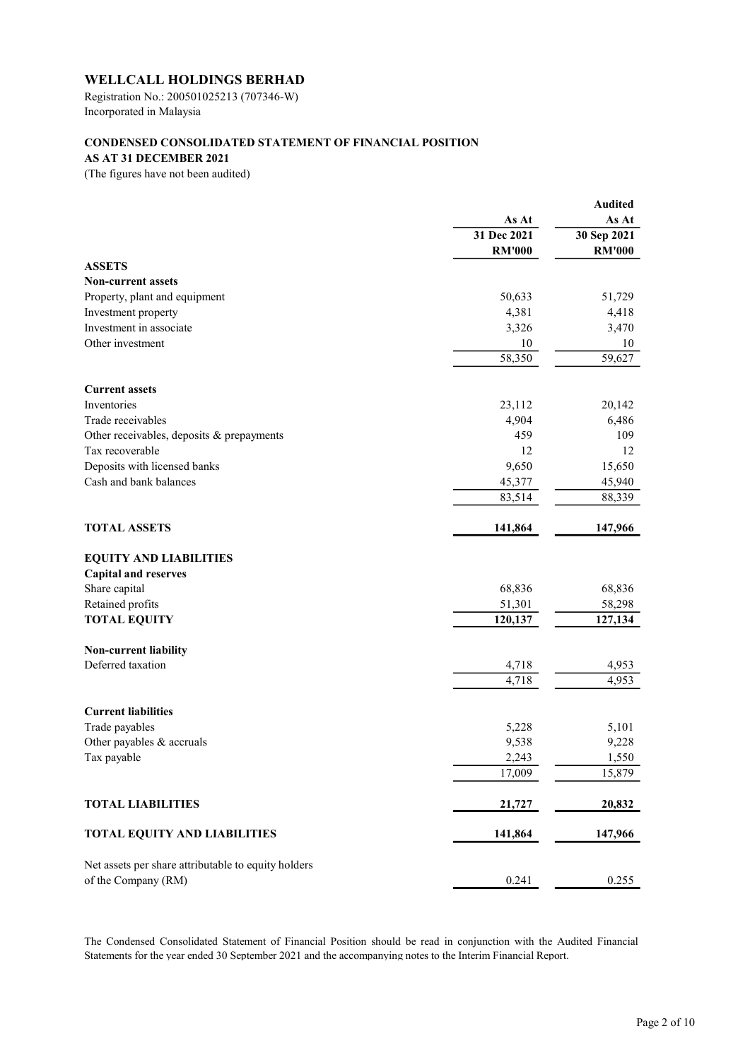Registration No.: 200501025213 (707346-W) Incorporated in Malaysia

# CONDENSED CONSOLIDATED STATEMENT OF FINANCIAL POSITION

# AS AT 31 DECEMBER 2021

(The figures have not been audited)

| As At<br>As At<br>31 Dec 2021<br>30 Sep 2021<br><b>RM'000</b><br><b>RM'000</b><br><b>ASSETS</b><br><b>Non-current assets</b><br>Property, plant and equipment<br>50,633<br>51,729<br>Investment property<br>4,381<br>4,418<br>Investment in associate<br>3,326<br>3,470<br>Other investment<br>10<br>10<br>58,350<br>59,627<br><b>Current assets</b><br>Inventories<br>23,112<br>20,142<br>Trade receivables<br>4,904<br>6,486<br>459<br>Other receivables, deposits & prepayments<br>109<br>Tax recoverable<br>12<br>12<br>Deposits with licensed banks<br>9,650<br>15,650<br>Cash and bank balances<br>45,377<br>45,940<br>83,514<br>88,339<br><b>TOTAL ASSETS</b><br>141,864<br>147,966<br><b>EQUITY AND LIABILITIES</b><br><b>Capital and reserves</b><br>Share capital<br>68,836<br>68,836<br>Retained profits<br>51,301<br>58,298<br><b>TOTAL EQUITY</b><br>120,137<br>127,134<br>Non-current liability<br>Deferred taxation<br>4,718<br>4,953<br>4,718<br>4,953<br><b>Current liabilities</b><br>Trade payables<br>5,228<br>5,101<br>Other payables & accruals<br>9,538<br>9,228<br>Tax payable<br>1,550<br>2,243<br>17,009<br>15,879<br><b>TOTAL LIABILITIES</b><br>21,727<br>20,832<br><b>TOTAL EQUITY AND LIABILITIES</b><br>141,864<br>147,966<br>Net assets per share attributable to equity holders<br>of the Company (RM)<br>0.241<br>0.255 |  | <b>Audited</b> |
|-----------------------------------------------------------------------------------------------------------------------------------------------------------------------------------------------------------------------------------------------------------------------------------------------------------------------------------------------------------------------------------------------------------------------------------------------------------------------------------------------------------------------------------------------------------------------------------------------------------------------------------------------------------------------------------------------------------------------------------------------------------------------------------------------------------------------------------------------------------------------------------------------------------------------------------------------------------------------------------------------------------------------------------------------------------------------------------------------------------------------------------------------------------------------------------------------------------------------------------------------------------------------------------------------------------------------------------------------------------|--|----------------|
|                                                                                                                                                                                                                                                                                                                                                                                                                                                                                                                                                                                                                                                                                                                                                                                                                                                                                                                                                                                                                                                                                                                                                                                                                                                                                                                                                           |  |                |
|                                                                                                                                                                                                                                                                                                                                                                                                                                                                                                                                                                                                                                                                                                                                                                                                                                                                                                                                                                                                                                                                                                                                                                                                                                                                                                                                                           |  |                |
|                                                                                                                                                                                                                                                                                                                                                                                                                                                                                                                                                                                                                                                                                                                                                                                                                                                                                                                                                                                                                                                                                                                                                                                                                                                                                                                                                           |  |                |
|                                                                                                                                                                                                                                                                                                                                                                                                                                                                                                                                                                                                                                                                                                                                                                                                                                                                                                                                                                                                                                                                                                                                                                                                                                                                                                                                                           |  |                |
|                                                                                                                                                                                                                                                                                                                                                                                                                                                                                                                                                                                                                                                                                                                                                                                                                                                                                                                                                                                                                                                                                                                                                                                                                                                                                                                                                           |  |                |
|                                                                                                                                                                                                                                                                                                                                                                                                                                                                                                                                                                                                                                                                                                                                                                                                                                                                                                                                                                                                                                                                                                                                                                                                                                                                                                                                                           |  |                |
|                                                                                                                                                                                                                                                                                                                                                                                                                                                                                                                                                                                                                                                                                                                                                                                                                                                                                                                                                                                                                                                                                                                                                                                                                                                                                                                                                           |  |                |
|                                                                                                                                                                                                                                                                                                                                                                                                                                                                                                                                                                                                                                                                                                                                                                                                                                                                                                                                                                                                                                                                                                                                                                                                                                                                                                                                                           |  |                |
|                                                                                                                                                                                                                                                                                                                                                                                                                                                                                                                                                                                                                                                                                                                                                                                                                                                                                                                                                                                                                                                                                                                                                                                                                                                                                                                                                           |  |                |
|                                                                                                                                                                                                                                                                                                                                                                                                                                                                                                                                                                                                                                                                                                                                                                                                                                                                                                                                                                                                                                                                                                                                                                                                                                                                                                                                                           |  |                |
|                                                                                                                                                                                                                                                                                                                                                                                                                                                                                                                                                                                                                                                                                                                                                                                                                                                                                                                                                                                                                                                                                                                                                                                                                                                                                                                                                           |  |                |
|                                                                                                                                                                                                                                                                                                                                                                                                                                                                                                                                                                                                                                                                                                                                                                                                                                                                                                                                                                                                                                                                                                                                                                                                                                                                                                                                                           |  |                |
|                                                                                                                                                                                                                                                                                                                                                                                                                                                                                                                                                                                                                                                                                                                                                                                                                                                                                                                                                                                                                                                                                                                                                                                                                                                                                                                                                           |  |                |
|                                                                                                                                                                                                                                                                                                                                                                                                                                                                                                                                                                                                                                                                                                                                                                                                                                                                                                                                                                                                                                                                                                                                                                                                                                                                                                                                                           |  |                |
|                                                                                                                                                                                                                                                                                                                                                                                                                                                                                                                                                                                                                                                                                                                                                                                                                                                                                                                                                                                                                                                                                                                                                                                                                                                                                                                                                           |  |                |
|                                                                                                                                                                                                                                                                                                                                                                                                                                                                                                                                                                                                                                                                                                                                                                                                                                                                                                                                                                                                                                                                                                                                                                                                                                                                                                                                                           |  |                |
|                                                                                                                                                                                                                                                                                                                                                                                                                                                                                                                                                                                                                                                                                                                                                                                                                                                                                                                                                                                                                                                                                                                                                                                                                                                                                                                                                           |  |                |
|                                                                                                                                                                                                                                                                                                                                                                                                                                                                                                                                                                                                                                                                                                                                                                                                                                                                                                                                                                                                                                                                                                                                                                                                                                                                                                                                                           |  |                |
|                                                                                                                                                                                                                                                                                                                                                                                                                                                                                                                                                                                                                                                                                                                                                                                                                                                                                                                                                                                                                                                                                                                                                                                                                                                                                                                                                           |  |                |
|                                                                                                                                                                                                                                                                                                                                                                                                                                                                                                                                                                                                                                                                                                                                                                                                                                                                                                                                                                                                                                                                                                                                                                                                                                                                                                                                                           |  |                |
|                                                                                                                                                                                                                                                                                                                                                                                                                                                                                                                                                                                                                                                                                                                                                                                                                                                                                                                                                                                                                                                                                                                                                                                                                                                                                                                                                           |  |                |
|                                                                                                                                                                                                                                                                                                                                                                                                                                                                                                                                                                                                                                                                                                                                                                                                                                                                                                                                                                                                                                                                                                                                                                                                                                                                                                                                                           |  |                |
|                                                                                                                                                                                                                                                                                                                                                                                                                                                                                                                                                                                                                                                                                                                                                                                                                                                                                                                                                                                                                                                                                                                                                                                                                                                                                                                                                           |  |                |
|                                                                                                                                                                                                                                                                                                                                                                                                                                                                                                                                                                                                                                                                                                                                                                                                                                                                                                                                                                                                                                                                                                                                                                                                                                                                                                                                                           |  |                |
|                                                                                                                                                                                                                                                                                                                                                                                                                                                                                                                                                                                                                                                                                                                                                                                                                                                                                                                                                                                                                                                                                                                                                                                                                                                                                                                                                           |  |                |
|                                                                                                                                                                                                                                                                                                                                                                                                                                                                                                                                                                                                                                                                                                                                                                                                                                                                                                                                                                                                                                                                                                                                                                                                                                                                                                                                                           |  |                |
|                                                                                                                                                                                                                                                                                                                                                                                                                                                                                                                                                                                                                                                                                                                                                                                                                                                                                                                                                                                                                                                                                                                                                                                                                                                                                                                                                           |  |                |
|                                                                                                                                                                                                                                                                                                                                                                                                                                                                                                                                                                                                                                                                                                                                                                                                                                                                                                                                                                                                                                                                                                                                                                                                                                                                                                                                                           |  |                |
|                                                                                                                                                                                                                                                                                                                                                                                                                                                                                                                                                                                                                                                                                                                                                                                                                                                                                                                                                                                                                                                                                                                                                                                                                                                                                                                                                           |  |                |
|                                                                                                                                                                                                                                                                                                                                                                                                                                                                                                                                                                                                                                                                                                                                                                                                                                                                                                                                                                                                                                                                                                                                                                                                                                                                                                                                                           |  |                |
|                                                                                                                                                                                                                                                                                                                                                                                                                                                                                                                                                                                                                                                                                                                                                                                                                                                                                                                                                                                                                                                                                                                                                                                                                                                                                                                                                           |  |                |
|                                                                                                                                                                                                                                                                                                                                                                                                                                                                                                                                                                                                                                                                                                                                                                                                                                                                                                                                                                                                                                                                                                                                                                                                                                                                                                                                                           |  |                |
|                                                                                                                                                                                                                                                                                                                                                                                                                                                                                                                                                                                                                                                                                                                                                                                                                                                                                                                                                                                                                                                                                                                                                                                                                                                                                                                                                           |  |                |
|                                                                                                                                                                                                                                                                                                                                                                                                                                                                                                                                                                                                                                                                                                                                                                                                                                                                                                                                                                                                                                                                                                                                                                                                                                                                                                                                                           |  |                |
|                                                                                                                                                                                                                                                                                                                                                                                                                                                                                                                                                                                                                                                                                                                                                                                                                                                                                                                                                                                                                                                                                                                                                                                                                                                                                                                                                           |  |                |
|                                                                                                                                                                                                                                                                                                                                                                                                                                                                                                                                                                                                                                                                                                                                                                                                                                                                                                                                                                                                                                                                                                                                                                                                                                                                                                                                                           |  |                |
|                                                                                                                                                                                                                                                                                                                                                                                                                                                                                                                                                                                                                                                                                                                                                                                                                                                                                                                                                                                                                                                                                                                                                                                                                                                                                                                                                           |  |                |
|                                                                                                                                                                                                                                                                                                                                                                                                                                                                                                                                                                                                                                                                                                                                                                                                                                                                                                                                                                                                                                                                                                                                                                                                                                                                                                                                                           |  |                |

The Condensed Consolidated Statement of Financial Position should be read in conjunction with the Audited Financial Statements for the year ended 30 September 2021 and the accompanying notes to the Interim Financial Report.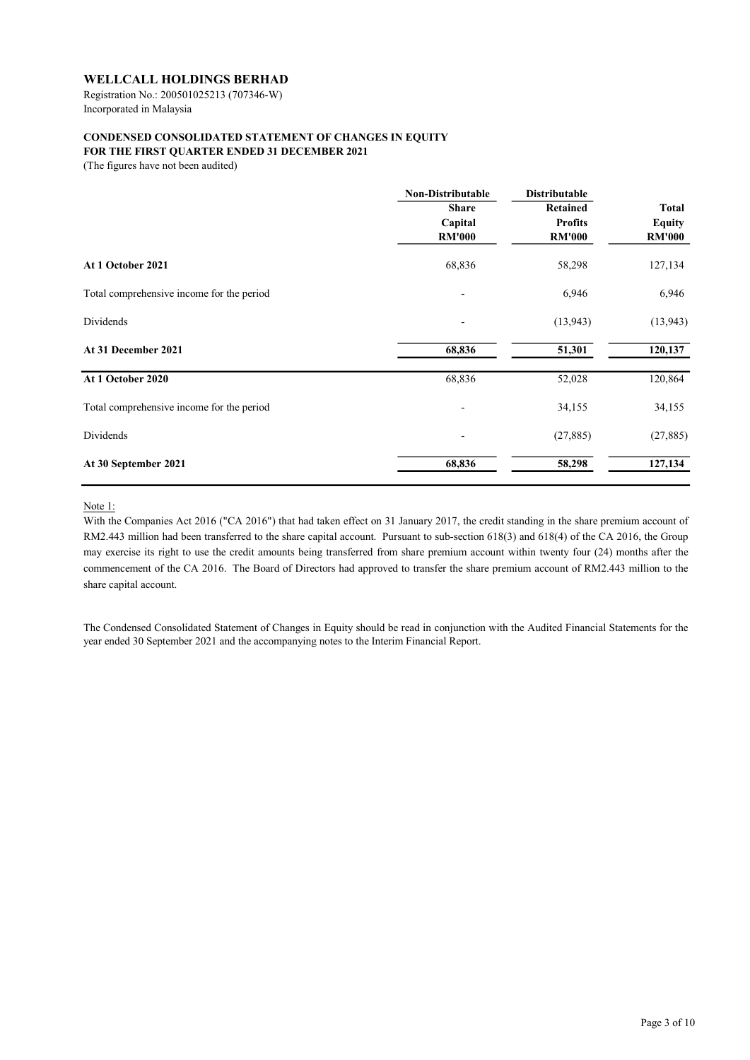Registration No.: 200501025213 (707346-W) Incorporated in Malaysia

# CONDENSED CONSOLIDATED STATEMENT OF CHANGES IN EQUITY

FOR THE FIRST QUARTER ENDED 31 DECEMBER 2021

(The figures have not been audited)

|                                                                             | <b>Non-Distributable</b> | <b>Distributable</b> |                  |  |
|-----------------------------------------------------------------------------|--------------------------|----------------------|------------------|--|
|                                                                             | <b>Share</b>             | <b>Retained</b>      | <b>Total</b>     |  |
|                                                                             | Capital                  | <b>Profits</b>       | <b>Equity</b>    |  |
|                                                                             | <b>RM'000</b>            | <b>RM'000</b>        | <b>RM'000</b>    |  |
| At 1 October 2021<br>Total comprehensive income for the period<br>Dividends | 68,836                   | 58,298               | 127,134<br>6,946 |  |
|                                                                             | ٠                        | 6,946                |                  |  |
|                                                                             |                          | (13, 943)            | (13, 943)        |  |
| At 31 December 2021                                                         | 68,836                   | 51,301               | 120,137          |  |
| At 1 October 2020                                                           | 68,836                   | 52,028               | 120,864          |  |
| Total comprehensive income for the period                                   |                          | 34,155               | 34,155           |  |
| Dividends                                                                   | $\overline{\phantom{a}}$ | (27, 885)            | (27, 885)        |  |
| At 30 September 2021                                                        | 68,836                   | 58,298               | 127,134          |  |
|                                                                             |                          |                      |                  |  |

Note 1:

With the Companies Act 2016 ("CA 2016") that had taken effect on 31 January 2017, the credit standing in the share premium account of RM2.443 million had been transferred to the share capital account. Pursuant to sub-section 618(3) and 618(4) of the CA 2016, the Group may exercise its right to use the credit amounts being transferred from share premium account within twenty four (24) months after the commencement of the CA 2016. The Board of Directors had approved to transfer the share premium account of RM2.443 million to the share capital account.

The Condensed Consolidated Statement of Changes in Equity should be read in conjunction with the Audited Financial Statements for the year ended 30 September 2021 and the accompanying notes to the Interim Financial Report.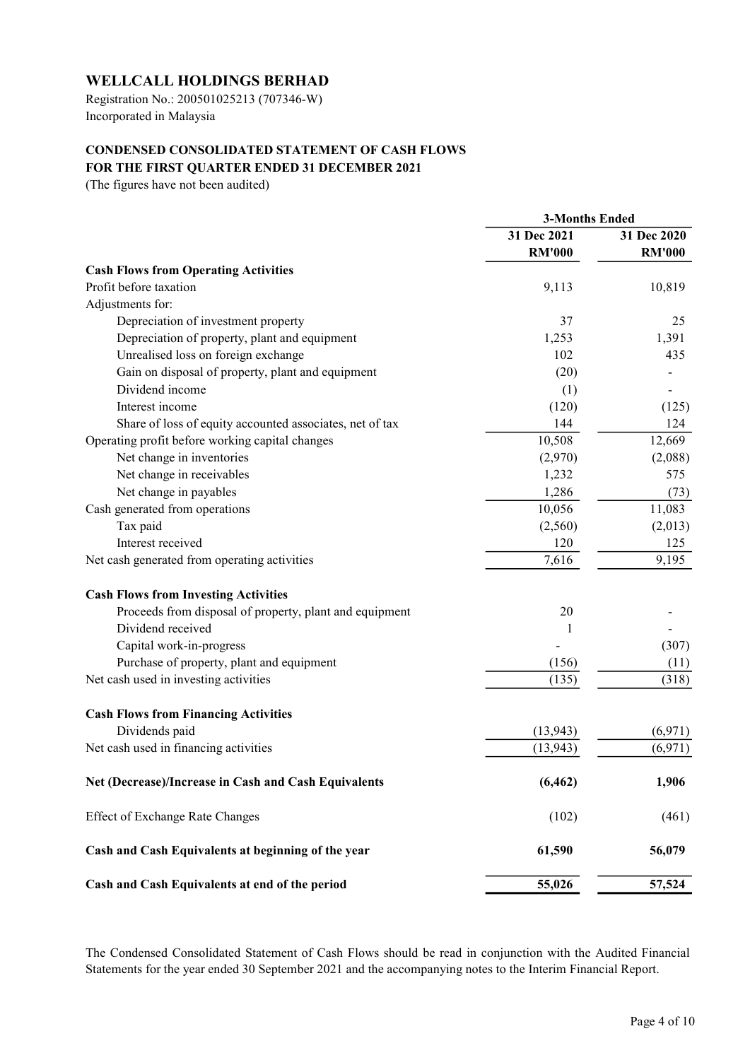Registration No.: 200501025213 (707346-W) Incorporated in Malaysia

# CONDENSED CONSOLIDATED STATEMENT OF CASH FLOWS FOR THE FIRST QUARTER ENDED 31 DECEMBER 2021

(The figures have not been audited)

|                                                          | <b>3-Months Ended</b> |               |  |
|----------------------------------------------------------|-----------------------|---------------|--|
|                                                          | 31 Dec 2021           | 31 Dec 2020   |  |
|                                                          | <b>RM'000</b>         | <b>RM'000</b> |  |
| <b>Cash Flows from Operating Activities</b>              |                       |               |  |
| Profit before taxation                                   | 9,113                 | 10,819        |  |
| Adjustments for:                                         |                       |               |  |
| Depreciation of investment property                      | 37                    | 25            |  |
| Depreciation of property, plant and equipment            | 1,253                 | 1,391         |  |
| Unrealised loss on foreign exchange                      | 102                   | 435           |  |
| Gain on disposal of property, plant and equipment        | (20)                  |               |  |
| Dividend income                                          | (1)                   |               |  |
| Interest income                                          | (120)                 | (125)         |  |
| Share of loss of equity accounted associates, net of tax | 144                   | 124           |  |
| Operating profit before working capital changes          | 10,508                | 12,669        |  |
| Net change in inventories                                | (2,970)               | (2,088)       |  |
| Net change in receivables                                | 1,232                 | 575           |  |
| Net change in payables                                   | 1,286                 | (73)          |  |
| Cash generated from operations                           | 10,056                | 11,083        |  |
| Tax paid                                                 | (2,560)               | (2,013)       |  |
| Interest received                                        | 120                   | 125           |  |
| Net cash generated from operating activities             | 7,616                 | 9,195         |  |
| <b>Cash Flows from Investing Activities</b>              |                       |               |  |
| Proceeds from disposal of property, plant and equipment  | 20                    |               |  |
| Dividend received                                        | 1                     |               |  |
| Capital work-in-progress                                 |                       | (307)         |  |
| Purchase of property, plant and equipment                | (156)                 | (11)          |  |
| Net cash used in investing activities                    | (135)                 | (318)         |  |
| <b>Cash Flows from Financing Activities</b>              |                       |               |  |
| Dividends paid                                           | (13, 943)             | (6,971)       |  |
| Net cash used in financing activities                    | (13, 943)             | (6,971)       |  |
| Net (Decrease)/Increase in Cash and Cash Equivalents     | (6, 462)              | 1,906         |  |
| <b>Effect of Exchange Rate Changes</b>                   | (102)                 | (461)         |  |
| Cash and Cash Equivalents at beginning of the year       | 61,590                | 56,079        |  |
| Cash and Cash Equivalents at end of the period           | 55,026                | 57,524        |  |

The Condensed Consolidated Statement of Cash Flows should be read in conjunction with the Audited Financial Statements for the year ended 30 September 2021 and the accompanying notes to the Interim Financial Report.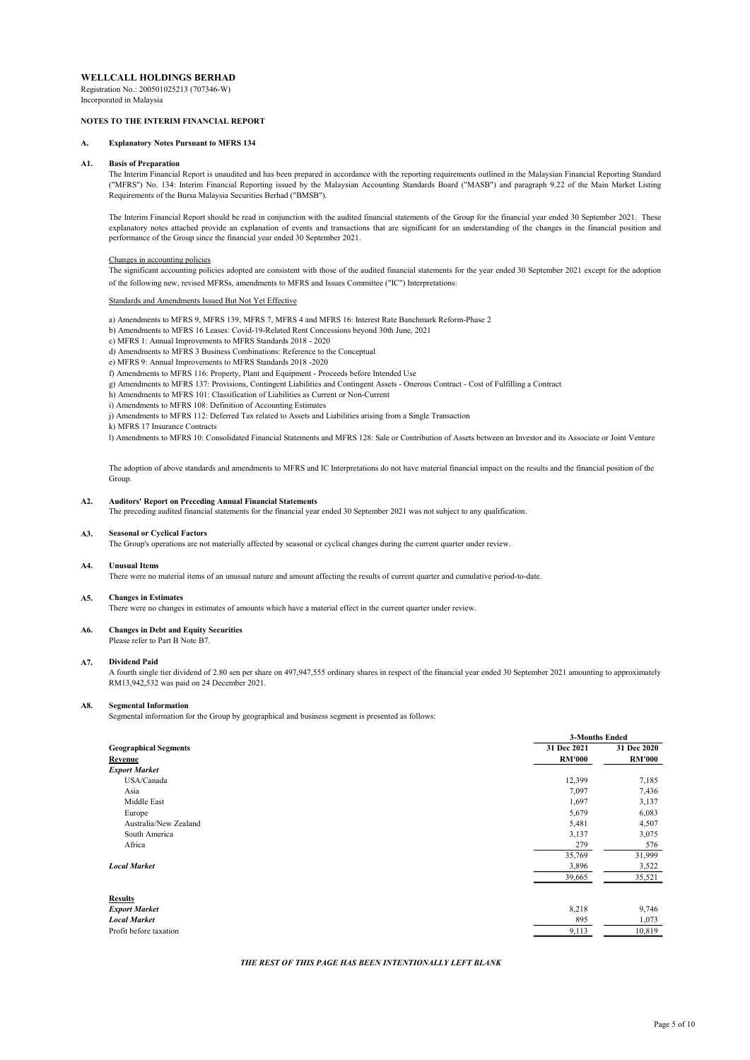Registration No.: 200501025213 (707346-W) Incorporated in Malaysia

### NOTES TO THE INTERIM FINANCIAL REPORT

### A. Explanatory Notes Pursuant to MFRS 134

#### A1. Basis of Preparation

The Interim Financial Report is unaudited and has been prepared in accordance with the reporting requirements outlined in the Malaysian Financial Reporting Standard ("MFRS") No. 134: Interim Financial Reporting issued by the Malaysian Accounting Standards Board ("MASB") and paragraph 9.22 of the Main Market Listing Requirements of the Bursa Malaysia Securities Berhad ("BMSB").

The Interim Financial Report should be read in conjunction with the audited financial statements of the Group for the financial year ended 30 September 2021. These explanatory notes attached provide an explanation of events and transactions that are significant for an understanding of the changes in the financial position and performance of the Group since the financial year ended 30 September 2021.

### Changes in accounting policies

The significant accounting policies adopted are consistent with those of the audited financial statements for the year ended 30 September 2021 except for the adoption of the following new, revised MFRSs, amendments to MFRS and Issues Committee ("IC") Interpretations:

and Amendments Issued But Not Yet Effective

- a) Amendments to MFRS 9, MFRS 139, MFRS 7, MFRS 4 and MFRS 16: Interest Rate Banchmark Reform-Phase 2
- b) Amendments to MFRS 16 Leases: Covid-19-Related Rent Concessions beyond 30th June, 2021
- c) MFRS 1: Annual Improvements to MFRS Standards 2018 2020
- d) Amendments to MFRS 3 Business Combinations: Reference to the Conceptual
- e) MFRS 9: Annual Improvements to MFRS Standards 2018 -2020
- f) Amendments to MFRS 116: Property, Plant and Equipment Proceeds before Intended Use
- g) Amendments to MFRS 137: Provisions, Contingent Liabilities and Contingent Assets Onerous Contract Cost of Fulfilling a Contract
- h) Amendments to MFRS 101: Classification of Liabilities as Current or Non-Current
- i) Amendments to MFRS 108: Definition of Accounting Estimates
- j) Amendments to MFRS 112: Deferred Tax related to Assets and Liabilities arising from a Single Transaction
- k) MFRS 17 Insurance Contracts

l) Amendments to MFRS 10: Consolidated Financial Statements and MFRS 128: Sale or Contribution of Assets between an Investor and its Associate or Joint Venture

The adoption of above standards and amendments to MFRS and IC Interpretations do not have material financial impact on the results and the financial position of the Group.

#### A2. Auditors' Report on Preceding Annual Financial Statements

The preceding audited financial statements for the financial year ended 30 September 2021 was not subject to any qualification.

#### A3. Seasonal or Cyclical Factors

The Group's operations are not materially affected by seasonal or cyclical changes during the current quarter under review.

#### A4. Unusual Items

There were no material items of an unusual nature and amount affecting the results of current quarter and cumulative period-to-date.

#### A5. Changes in Estimates

There were no changes in estimates of amounts which have a material effect in the current quarter under review.

#### A6. Changes in Debt and Equity Securities

Please refer to Part B Note B7.

#### A7. Dividend Paid

A fourth single tier dividend of 2.80 sen per share on 497,947,555 ordinary shares in respect of the financial year ended 30 September 2021 amounting to approximately RM13,942,532 was paid on 24 December 2021.

#### A8. Segmental Information

Segmental information for the Group by geographical and business segment is presented as follows:

|                                         | <b>3-Months Ended</b>        |                              |
|-----------------------------------------|------------------------------|------------------------------|
| <b>Geographical Segments</b><br>Revenue | 31 Dec 2021<br><b>RM'000</b> | 31 Dec 2020<br><b>RM'000</b> |
| <b>Export Market</b>                    |                              |                              |
| USA/Canada                              | 12,399                       | 7,185                        |
| Asia                                    | 7,097                        | 7,436                        |
| Middle East                             | 1,697                        | 3,137                        |
| Europe                                  | 5,679                        | 6,083                        |
| Australia/New Zealand                   | 5,481                        | 4,507                        |
| South America                           | 3,137                        | 3,075                        |
| Africa                                  | 279                          | 576                          |
|                                         | 35,769                       | 31,999                       |
| <b>Local Market</b>                     | 3,896                        | 3,522                        |
|                                         | 39,665                       | 35,521                       |
| <b>Results</b>                          |                              |                              |
| <b>Export Market</b>                    | 8,218                        | 9,746                        |
| <b>Local Market</b>                     | 895                          | 1,073                        |
| Profit before taxation                  | 9,113                        | 10,819                       |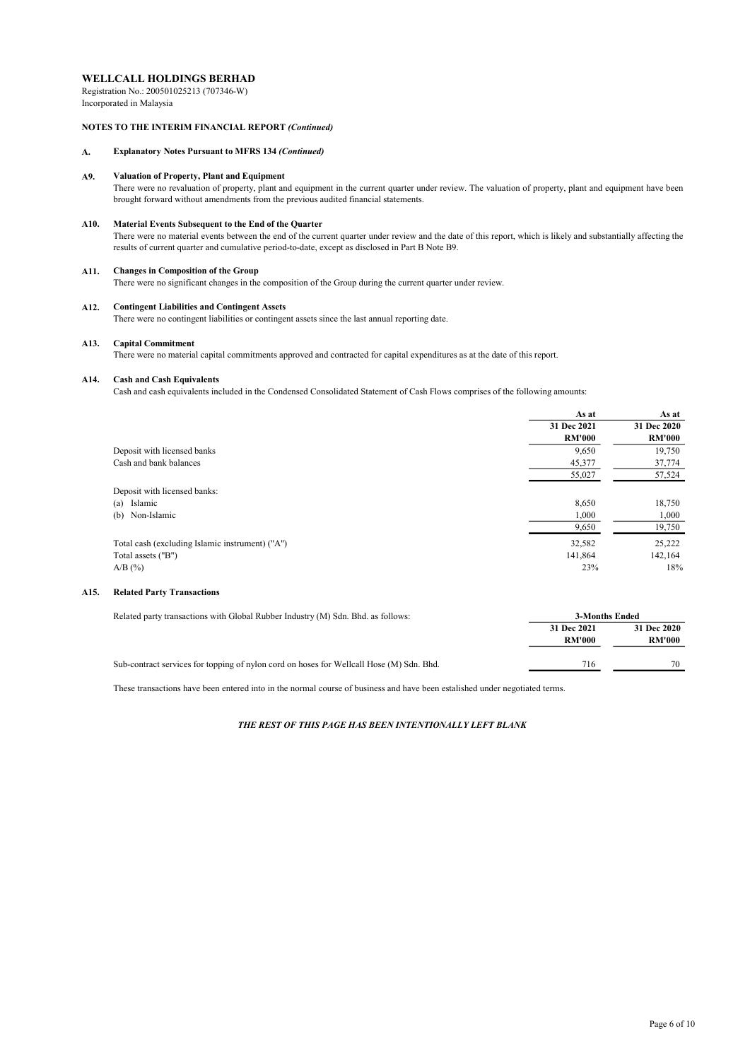Registration No.: 200501025213 (707346-W) Incorporated in Malaysia

### NOTES TO THE INTERIM FINANCIAL REPORT (Continued)

### A. Explanatory Notes Pursuant to MFRS 134 (Continued)

#### A9. Valuation of Property, Plant and Equipment

There were no revaluation of property, plant and equipment in the current quarter under review. The valuation of property, plant and equipment have been brought forward without amendments from the previous audited financial statements.

#### A10. Material Events Subsequent to the End of the Quarter

There were no material events between the end of the current quarter under review and the date of this report, which is likely and substantially affecting the results of current quarter and cumulative period-to-date, except as disclosed in Part B Note B9.

#### A11. Changes in Composition of the Group

There were no significant changes in the composition of the Group during the current quarter under review.

#### A12. Contingent Liabilities and Contingent Assets

There were no contingent liabilities or contingent assets since the last annual reporting date.

#### A13. Capital Commitment

There were no material capital commitments approved and contracted for capital expenditures as at the date of this report.

#### A14. Cash and Cash Equivalents

Cash and cash equivalents included in the Condensed Consolidated Statement of Cash Flows comprises of the following amounts:

|                                                 | As at         | As at         |
|-------------------------------------------------|---------------|---------------|
|                                                 | 31 Dec 2021   | 31 Dec 2020   |
|                                                 | <b>RM'000</b> | <b>RM'000</b> |
| Deposit with licensed banks                     | 9,650         | 19,750        |
| Cash and bank balances                          | 45,377        | 37,774        |
|                                                 | 55,027        | 57,524        |
| Deposit with licensed banks:                    |               |               |
| Islamic<br>(a)                                  | 8,650         | 18,750        |
| (b) Non-Islamic                                 | 1,000         | 1,000         |
|                                                 | 9,650         | 19,750        |
| Total cash (excluding Islamic instrument) ("A") | 32,582        | 25,222        |
| Total assets ("B")                              | 141,864       | 142,164       |
| $A/B$ (%)                                       | 23%           | 18%           |

### A15. Related Party Transactions

| Related party transactions with Global Rubber Industry (M) Sdn. Bhd. as follows:         | 3-Months Ended               |                              |
|------------------------------------------------------------------------------------------|------------------------------|------------------------------|
|                                                                                          | 31 Dec 2021<br><b>RM'000</b> | 31 Dec 2020<br><b>RM'000</b> |
| Sub-contract services for topping of nylon cord on hoses for Wellcall Hose (M) Sdn. Bhd. | 716                          | 70                           |

These transactions have been entered into in the normal course of business and have been estalished under negotiated terms.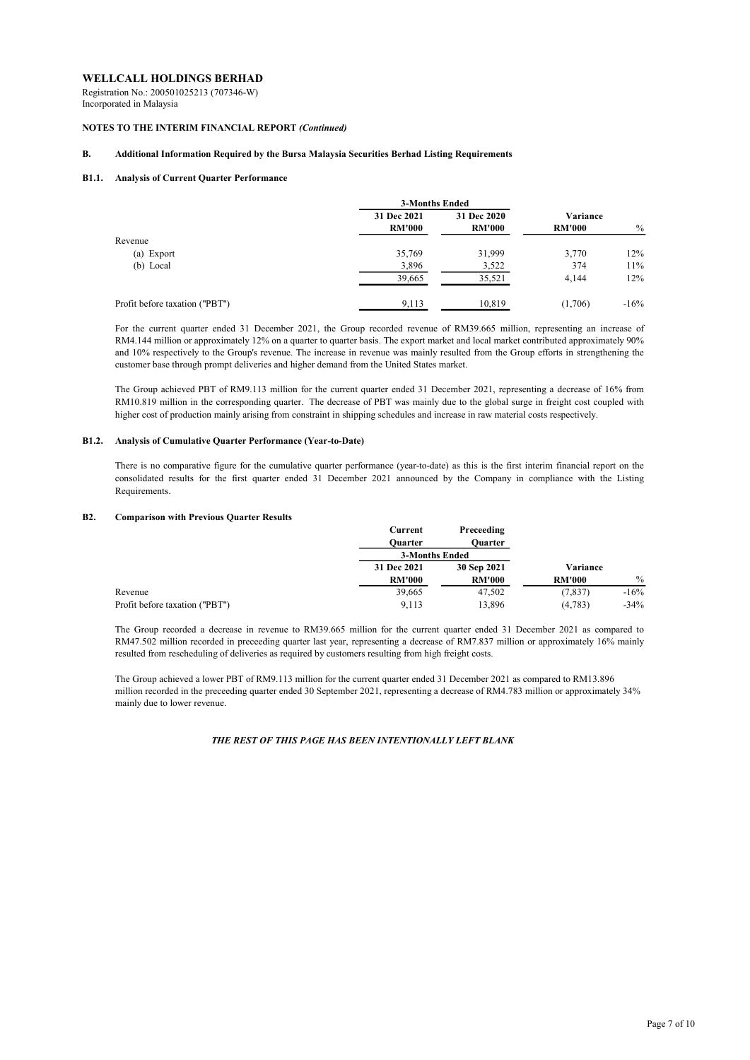Registration No.: 200501025213 (707346-W) Incorporated in Malaysia

### NOTES TO THE INTERIM FINANCIAL REPORT (Continued)

### B. Additional Information Required by the Bursa Malaysia Securities Berhad Listing Requirements

### B1.1. Analysis of Current Quarter Performance

|                                | <b>3-Months Ended</b> |               |               |               |
|--------------------------------|-----------------------|---------------|---------------|---------------|
|                                | 31 Dec 2021           | 31 Dec 2020   | Variance      |               |
|                                | <b>RM'000</b>         | <b>RM'000</b> | <b>RM'000</b> | $\frac{0}{0}$ |
| Revenue                        |                       |               |               |               |
| (a) Export                     | 35,769                | 31,999        | 3,770         | 12%           |
| (b) Local                      | 3,896                 | 3,522         | 374           | 11%           |
|                                | 39,665                | 35,521        | 4,144         | 12%           |
| Profit before taxation ("PBT") | 9,113                 | 10,819        | (1,706)       | $-16\%$       |

For the current quarter ended 31 December 2021, the Group recorded revenue of RM39.665 million, representing an increase of RM4.144 million or approximately 12% on a quarter to quarter basis. The export market and local market contributed approximately 90% and 10% respectively to the Group's revenue. The increase in revenue was mainly resulted from the Group efforts in strengthening the customer base through prompt deliveries and higher demand from the United States market.

The Group achieved PBT of RM9.113 million for the current quarter ended 31 December 2021, representing a decrease of 16% from RM10.819 million in the corresponding quarter. The decrease of PBT was mainly due to the global surge in freight cost coupled with higher cost of production mainly arising from constraint in shipping schedules and increase in raw material costs respectively.

### B1.2. Analysis of Cumulative Quarter Performance (Year-to-Date)

There is no comparative figure for the cumulative quarter performance (year-to-date) as this is the first interim financial report on the consolidated results for the first quarter ended 31 December 2021 announced by the Company in compliance with the Listing Requirements.

#### B2. Comparison with Previous Quarter Results

|                                | Current               | Preceeding    |               |               |
|--------------------------------|-----------------------|---------------|---------------|---------------|
|                                | <b>Ouarter</b>        | Ouarter       |               |               |
|                                | <b>3-Months Ended</b> |               |               |               |
|                                | 31 Dec 2021           | 30 Sep 2021   | Variance      |               |
|                                | <b>RM'000</b>         | <b>RM'000</b> | <b>RM'000</b> | $\frac{0}{0}$ |
| Revenue                        | 39,665                | 47,502        | (7, 837)      | $-16%$        |
| Profit before taxation ("PBT") | 9.113                 | 13,896        | (4,783)       | $-34%$        |

The Group recorded a decrease in revenue to RM39.665 million for the current quarter ended 31 December 2021 as compared to RM47.502 million recorded in preceeding quarter last year, representing a decrease of RM7.837 million or approximately 16% mainly resulted from rescheduling of deliveries as required by customers resulting from high freight costs.

The Group achieved a lower PBT of RM9.113 million for the current quarter ended 31 December 2021 as compared to RM13.896 million recorded in the preceeding quarter ended 30 September 2021, representing a decrease of RM4.783 million or approximately 34% mainly due to lower revenue.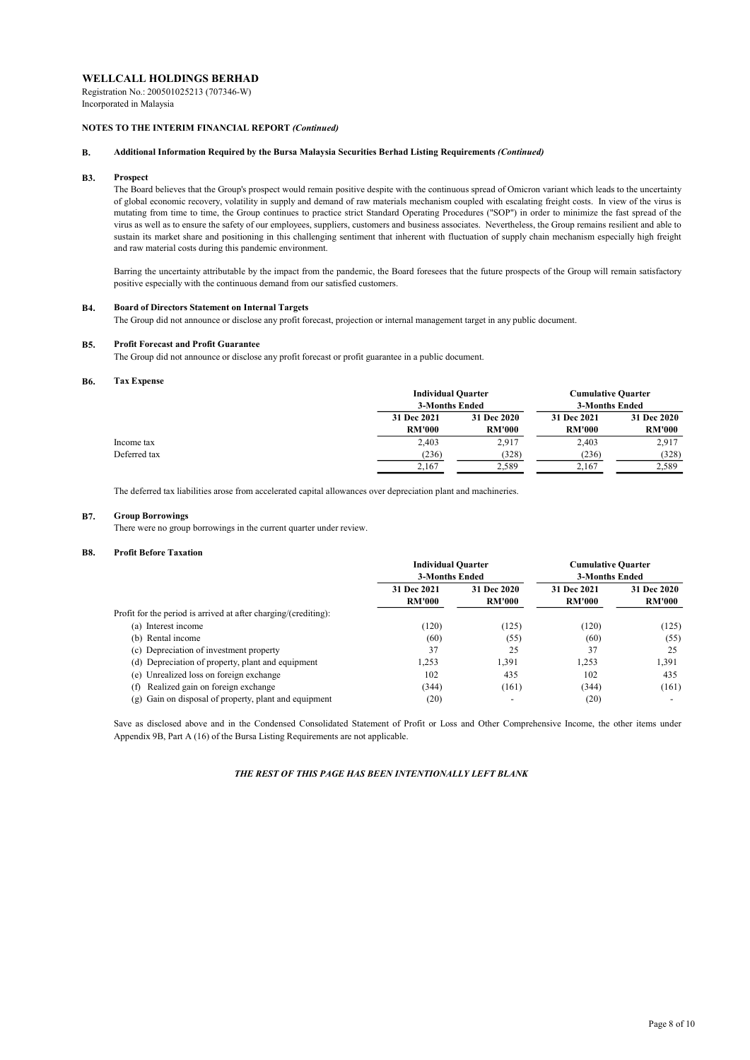Registration No.: 200501025213 (707346-W) Incorporated in Malaysia

### NOTES TO THE INTERIM FINANCIAL REPORT (Continued)

### B. Additional Information Required by the Bursa Malaysia Securities Berhad Listing Requirements (Continued)

#### B3. Prospect

The Board believes that the Group's prospect would remain positive despite with the continuous spread of Omicron variant which leads to the uncertainty of global economic recovery, volatility in supply and demand of raw materials mechanism coupled with escalating freight costs. In view of the virus is mutating from time to time, the Group continues to practice strict Standard Operating Procedures ("SOP") in order to minimize the fast spread of the virus as well as to ensure the safety of our employees, suppliers, customers and business associates. Nevertheless, the Group remains resilient and able to sustain its market share and positioning in this challenging sentiment that inherent with fluctuation of supply chain mechanism especially high freight and raw material costs during this pandemic environment.

Barring the uncertainty attributable by the impact from the pandemic, the Board foresees that the future prospects of the Group will remain satisfactory positive especially with the continuous demand from our satisfied customers.

#### B4. Board of Directors Statement on Internal Targets

The Group did not announce or disclose any profit forecast, projection or internal management target in any public document.

#### **B5.** Profit Forecast and Profit Guarantee

The Group did not announce or disclose any profit forecast or profit guarantee in a public document.

#### B6. Tax Expense

|              | <b>Individual Quarter</b><br>3-Months Ended |                              | <b>Cumulative Quarter</b><br>3-Months Ended |                              |
|--------------|---------------------------------------------|------------------------------|---------------------------------------------|------------------------------|
|              | 31 Dec 2021<br><b>RM'000</b>                | 31 Dec 2020<br><b>RM'000</b> | 31 Dec 2021<br><b>RM'000</b>                | 31 Dec 2020<br><b>RM'000</b> |
| Income tax   | 2,403                                       | 2,917                        | 2,403                                       | 2,917                        |
| Deferred tax | (236)                                       | (328)                        | (236)                                       | (328)                        |
|              | 2,167                                       | 2,589                        | 2.167                                       | 2,589                        |

The deferred tax liabilities arose from accelerated capital allowances over depreciation plant and machineries.

#### **B7.** Group Borrowings

There were no group borrowings in the current quarter under review.

#### **B8.** Profit Before Taxation

|                                                                 | <b>Individual Quarter</b> |                          | <b>Cumulative Quarter</b> |               |
|-----------------------------------------------------------------|---------------------------|--------------------------|---------------------------|---------------|
|                                                                 | 3-Months Ended            |                          | 3-Months Ended            |               |
|                                                                 | 31 Dec 2021               | 31 Dec 2020              | 31 Dec 2021               | 31 Dec 2020   |
|                                                                 | <b>RM'000</b>             | <b>RM'000</b>            | <b>RM'000</b>             | <b>RM'000</b> |
| Profit for the period is arrived at after charging/(crediting): |                           |                          |                           |               |
| Interest income<br>(a)                                          | (120)                     | (125)                    | (120)                     | (125)         |
| (b) Rental income                                               | (60)                      | (55)                     | (60)                      | (55)          |
| (c) Depreciation of investment property                         | 37                        | 25                       | 37                        | 25            |
| (d) Depreciation of property, plant and equipment               | 1,253                     | 1,391                    | 1.253                     | 1,391         |
| (e) Unrealized loss on foreign exchange                         | 102                       | 435                      | 102                       | 435           |
| Realized gain on foreign exchange<br>(f)                        | (344)                     | (161)                    | (344)                     | (161)         |
| (g) Gain on disposal of property, plant and equipment           | (20)                      | $\overline{\phantom{0}}$ | (20)                      |               |

Save as disclosed above and in the Condensed Consolidated Statement of Profit or Loss and Other Comprehensive Income, the other items under Appendix 9B, Part A (16) of the Bursa Listing Requirements are not applicable.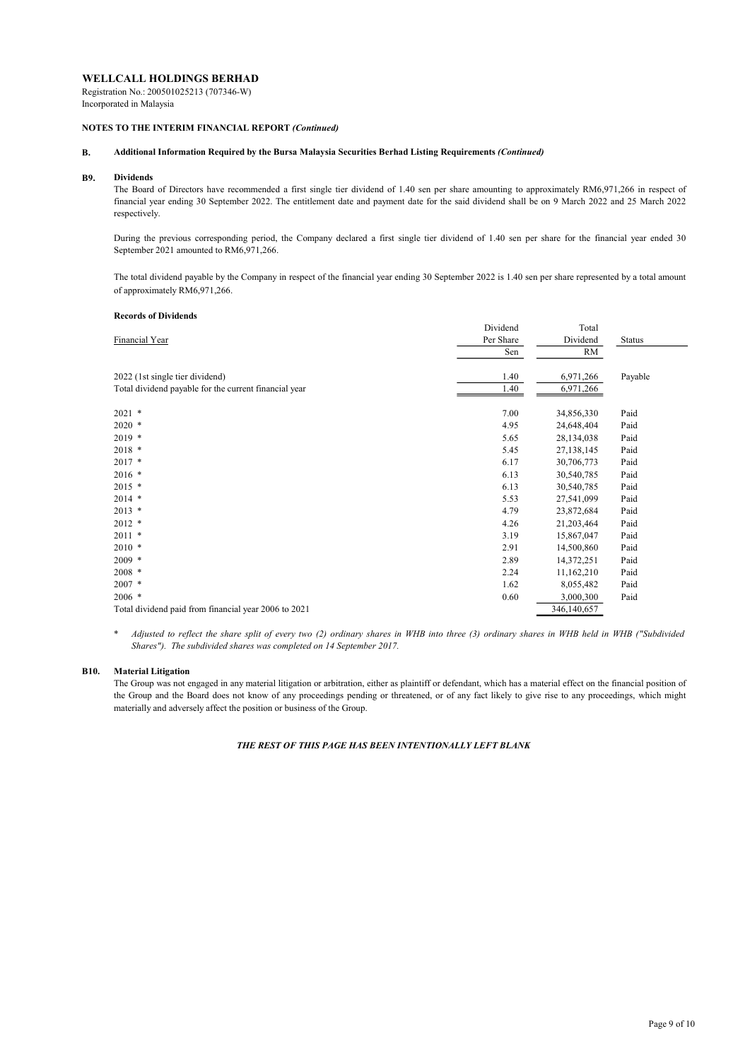Registration No.: 200501025213 (707346-W) Incorporated in Malaysia

### NOTES TO THE INTERIM FINANCIAL REPORT (Continued)

### B. Additional Information Required by the Bursa Malaysia Securities Berhad Listing Requirements (Continued)

#### B9. Dividends

The Board of Directors have recommended a first single tier dividend of 1.40 sen per share amounting to approximately RM6,971,266 in respect of financial year ending 30 September 2022. The entitlement date and payment date for the said dividend shall be on 9 March 2022 and 25 March 2022 respectively.

During the previous corresponding period, the Company declared a first single tier dividend of 1.40 sen per share for the financial year ended 30 September 2021 amounted to RM6,971,266.

The total dividend payable by the Company in respect of the financial year ending 30 September 2022 is 1.40 sen per share represented by a total amount of approximately RM6,971,266.

### Records of Dividends

|                                                       | Dividend  | Total       |               |
|-------------------------------------------------------|-----------|-------------|---------------|
| Financial Year                                        | Per Share | Dividend    | <b>Status</b> |
|                                                       | Sen       | RM          |               |
| 2022 (1st single tier dividend)                       | 1.40      | 6,971,266   | Payable       |
| Total dividend payable for the current financial year | 1.40      | 6,971,266   |               |
| $2021$ *                                              | 7.00      | 34,856,330  | Paid          |
| $2020$ *                                              | 4.95      | 24,648,404  | Paid          |
| $2019$ *                                              | 5.65      | 28,134,038  | Paid          |
| $2018$ *                                              | 5.45      | 27,138,145  | Paid          |
| $2017$ *                                              | 6.17      | 30,706,773  | Paid          |
| $2016$ *                                              | 6.13      | 30,540,785  | Paid          |
| $2015$ *                                              | 6.13      | 30,540,785  | Paid          |
| $2014$ *                                              | 5.53      | 27,541,099  | Paid          |
| $2013$ *                                              | 4.79      | 23,872,684  | Paid          |
| $2012$ *                                              | 4.26      | 21,203,464  | Paid          |
| $2011$ *                                              | 3.19      | 15,867,047  | Paid          |
| $2010$ *                                              | 2.91      | 14,500,860  | Paid          |
| $2009$ *                                              | 2.89      | 14,372,251  | Paid          |
| $2008$ *                                              | 2.24      | 11,162,210  | Paid          |
| $2007$ *                                              | 1.62      | 8,055,482   | Paid          |
| $2006$ *                                              | 0.60      | 3,000,300   | Paid          |
| Total dividend paid from financial year 2006 to 2021  |           | 346,140,657 |               |

\* Adjusted to reflect the share split of every two (2) ordinary shares in WHB into three (3) ordinary shares in WHB held in WHB ("Subdivided Shares"). The subdivided shares was completed on 14 September 2017.

### B10. Material Litigation

The Group was not engaged in any material litigation or arbitration, either as plaintiff or defendant, which has a material effect on the financial position of the Group and the Board does not know of any proceedings pending or threatened, or of any fact likely to give rise to any proceedings, which might materially and adversely affect the position or business of the Group.